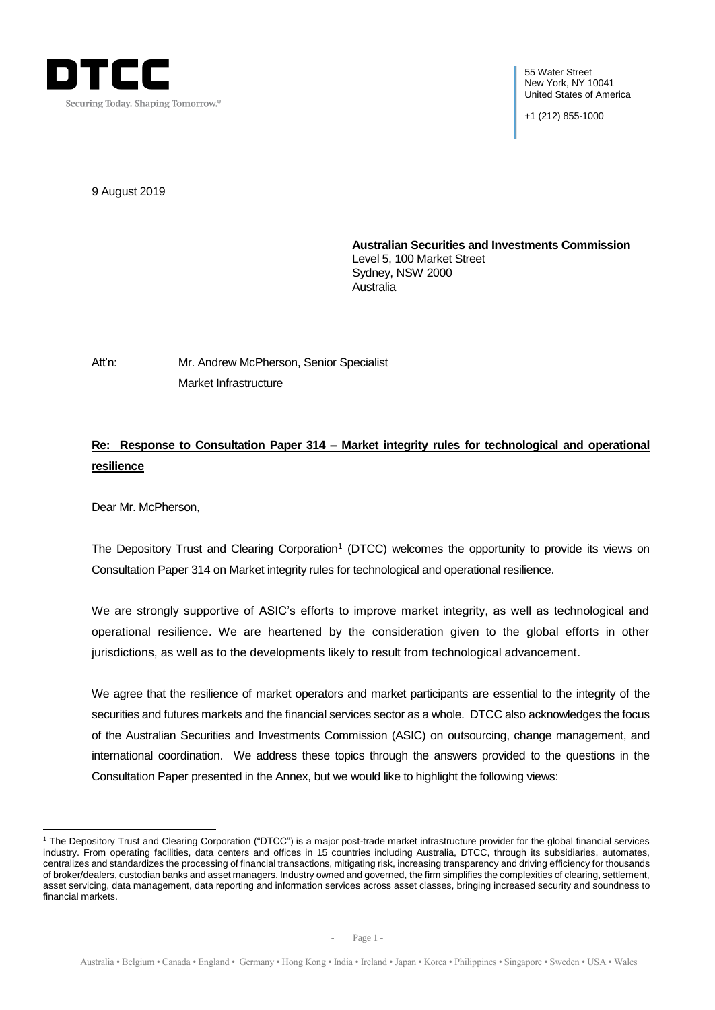

55 Water Street New York, NY 10041 United States of America

+1 (212) 855-1000

9 August 2019

**Australian Securities and Investments Commission** Level 5, 100 Market Street Sydney, NSW 2000 Australia

Att'n: Mr. Andrew McPherson, Senior Specialist Market Infrastructure

# **Re: Response to Consultation Paper 314 – Market integrity rules for technological and operational resilience**

Dear Mr. McPherson,

<u>.</u>

The Depository Trust and Clearing Corporation<sup>1</sup> (DTCC) welcomes the opportunity to provide its views on Consultation Paper 314 on Market integrity rules for technological and operational resilience.

We are strongly supportive of ASIC's efforts to improve market integrity, as well as technological and operational resilience. We are heartened by the consideration given to the global efforts in other jurisdictions, as well as to the developments likely to result from technological advancement. *[Insert name]@dtcc.com*

We agree that the resilience of market operators and market participants are essential to the integrity of the securities and futures markets and the financial services sector as a whole. DTCC also acknowledges the focus of the Australian Securities and Investments Commission (ASIC) on outsourcing, change management, and international coordination. We address these topics through the answers provided to the questions in the Consultation Paper presented in the Annex, but we would like to highlight the following views:

<sup>1</sup> The Depository Trust and Clearing Corporation ("DTCC") is a major post-trade market infrastructure provider for the global financial services industry. From operating facilities, data centers and offices in 15 countries including Australia, DTCC, through its subsidiaries, automates, centralizes and standardizes the processing of financial transactions, mitigating risk, increasing transparency and driving efficiency for thousands of broker/dealers, custodian banks and asset managers. Industry owned and governed, the firm simplifies the complexities of clearing, settlement, asset servicing, data management, data reporting and information services across asset classes, bringing increased security and soundness to financial markets.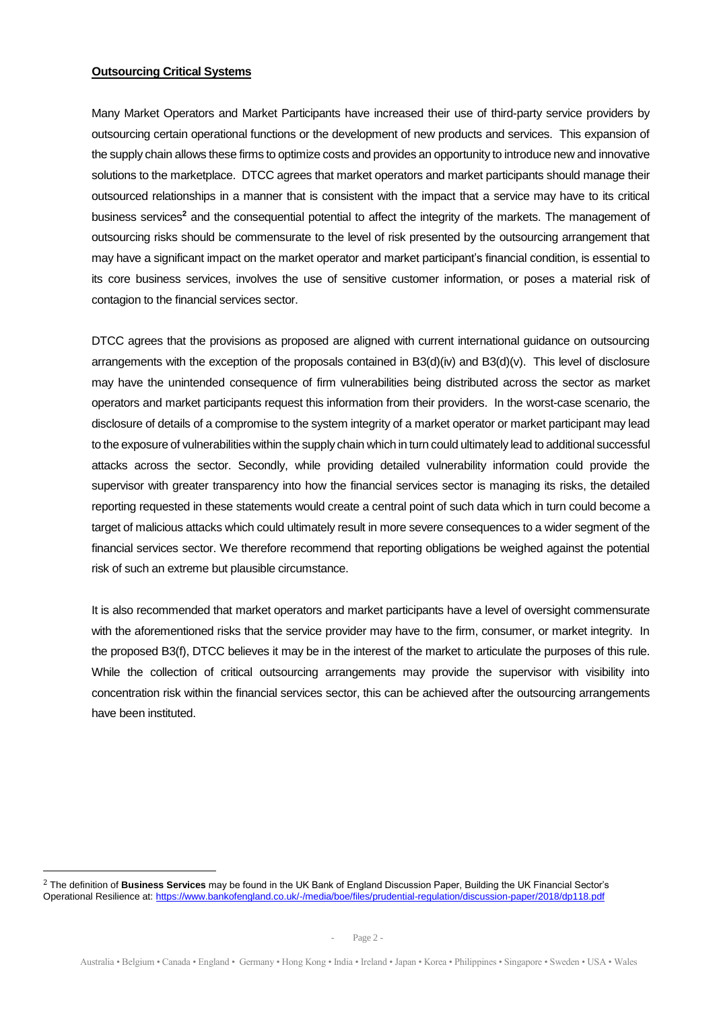#### **Outsourcing Critical Systems**

Many Market Operators and Market Participants have increased their use of third-party service providers by outsourcing certain operational functions or the development of new products and services. This expansion of the supply chain allows these firms to optimize costs and provides an opportunity to introduce new and innovative solutions to the marketplace. DTCC agrees that market operators and market participants should manage their outsourced relationships in a manner that is consistent with the impact that a service may have to its critical business services**<sup>2</sup>** and the consequential potential to affect the integrity of the markets. The management of outsourcing risks should be commensurate to the level of risk presented by the outsourcing arrangement that may have a significant impact on the market operator and market participant's financial condition, is essential to its core business services, involves the use of sensitive customer information, or poses a material risk of contagion to the financial services sector.

DTCC agrees that the provisions as proposed are aligned with current international guidance on outsourcing arrangements with the exception of the proposals contained in B3(d)(iv) and B3(d)(v). This level of disclosure may have the unintended consequence of firm vulnerabilities being distributed across the sector as market operators and market participants request this information from their providers. In the worst-case scenario, the disclosure of details of a compromise to the system integrity of a market operator or market participant may lead to the exposure of vulnerabilities within the supply chain which in turn could ultimately lead to additional successful attacks across the sector. Secondly, while providing detailed vulnerability information could provide the supervisor with greater transparency into how the financial services sector is managing its risks, the detailed reporting requested in these statements would create a central point of such data which in turn could become a target of malicious attacks which could ultimately result in more severe consequences to a wider segment of the financial services sector. We therefore recommend that reporting obligations be weighed against the potential risk of such an extreme but plausible circumstance.

It is also recommended that market operators and market participants have a level of oversight commensurate with the aforementioned risks that the service provider may have to the firm, consumer, or market integrity. In the proposed B3(f), DTCC believes it may be in the interest of the market to articulate the purposes of this rule. While the collection of critical outsourcing arrangements may provide the supervisor with visibility into concentration risk within the financial services sector, this can be achieved after the outsourcing arrangements have been instituted.

<sup>2</sup> The definition of **Business Services** may be found in the UK Bank of England Discussion Paper, Building the UK Financial Sector's Operational Resilience at:<https://www.bankofengland.co.uk/-/media/boe/files/prudential-regulation/discussion-paper/2018/dp118.pdf>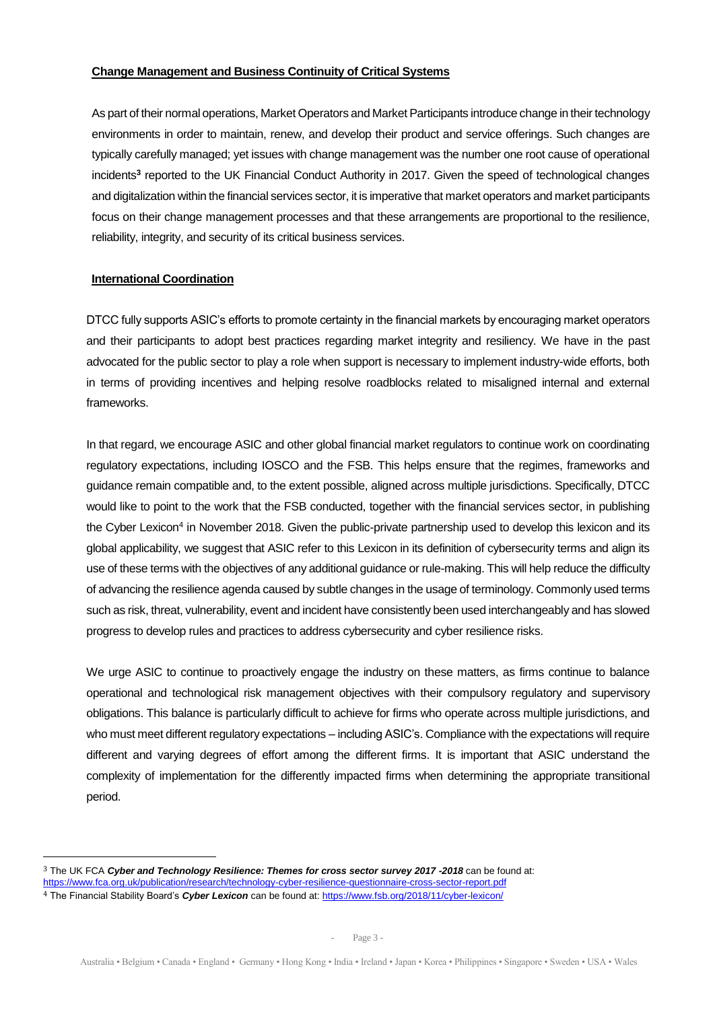### **Change Management and Business Continuity of Critical Systems**

As part of their normal operations, Market Operators and Market Participants introduce change in their technology environments in order to maintain, renew, and develop their product and service offerings. Such changes are typically carefully managed; yet issues with change management was the number one root cause of operational incidents**<sup>3</sup>** reported to the UK Financial Conduct Authority in 2017. Given the speed of technological changes and digitalization within the financial services sector, it is imperative that market operators and market participants focus on their change management processes and that these arrangements are proportional to the resilience, reliability, integrity, and security of its critical business services.

#### **International Coordination**

<u>.</u>

DTCC fully supports ASIC's efforts to promote certainty in the financial markets by encouraging market operators and their participants to adopt best practices regarding market integrity and resiliency. We have in the past advocated for the public sector to play a role when support is necessary to implement industry-wide efforts, both in terms of providing incentives and helping resolve roadblocks related to misaligned internal and external frameworks.

In that regard, we encourage ASIC and other global financial market regulators to continue work on coordinating regulatory expectations, including IOSCO and the FSB. This helps ensure that the regimes, frameworks and guidance remain compatible and, to the extent possible, aligned across multiple jurisdictions. Specifically, DTCC would like to point to the work that the FSB conducted, together with the financial services sector, in publishing the Cyber Lexicon<sup>4</sup> in November 2018. Given the public-private partnership used to develop this lexicon and its global applicability, we suggest that ASIC refer to this Lexicon in its definition of cybersecurity terms and align its use of these terms with the objectives of any additional guidance or rule-making. This will help reduce the difficulty of advancing the resilience agenda caused by subtle changes in the usage of terminology. Commonly used terms such as risk, threat, vulnerability, event and incident have consistently been used interchangeably and has slowed progress to develop rules and practices to address cybersecurity and cyber resilience risks.

We urge ASIC to continue to proactively engage the industry on these matters, as firms continue to balance operational and technological risk management objectives with their compulsory regulatory and supervisory obligations. This balance is particularly difficult to achieve for firms who operate across multiple jurisdictions, and who must meet different regulatory expectations – including ASIC's. Compliance with the expectations will require different and varying degrees of effort among the different firms. It is important that ASIC understand the complexity of implementation for the differently impacted firms when determining the appropriate transitional period.

<sup>3</sup> The UK FCA *Cyber and Technology Resilience: Themes for cross sector survey 2017 -2018* can be found at:

<https://www.fca.org.uk/publication/research/technology-cyber-resilience-questionnaire-cross-sector-report.pdf>

<sup>4</sup> The Financial Stability Board's *Cyber Lexicon* can be found at[: https://www.fsb.org/2018/11/cyber-lexicon/](https://www.fsb.org/2018/11/cyber-lexicon/)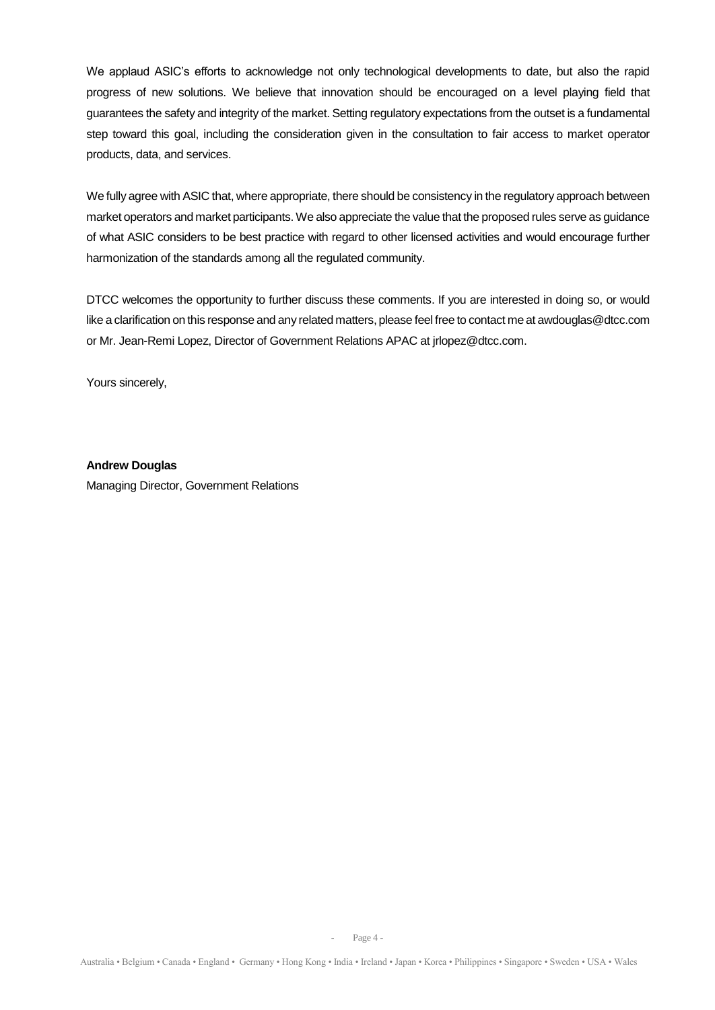We applaud ASIC's efforts to acknowledge not only technological developments to date, but also the rapid progress of new solutions. We believe that innovation should be encouraged on a level playing field that guarantees the safety and integrity of the market. Setting regulatory expectations from the outset is a fundamental step toward this goal, including the consideration given in the consultation to fair access to market operator products, data, and services.

We fully agree with ASIC that, where appropriate, there should be consistency in the regulatory approach between market operators and market participants. We also appreciate the value that the proposed rules serve as guidance of what ASIC considers to be best practice with regard to other licensed activities and would encourage further harmonization of the standards among all the regulated community.

DTCC welcomes the opportunity to further discuss these comments. If you are interested in doing so, or would like a clarification on this response and any related matters, please feel free to contact me at awdouglas@dtcc.com or Mr. Jean-Remi Lopez, Director of Government Relations APAC at jrlopez@dtcc.com.

Yours sincerely,

**Andrew Douglas** Managing Director, Government Relations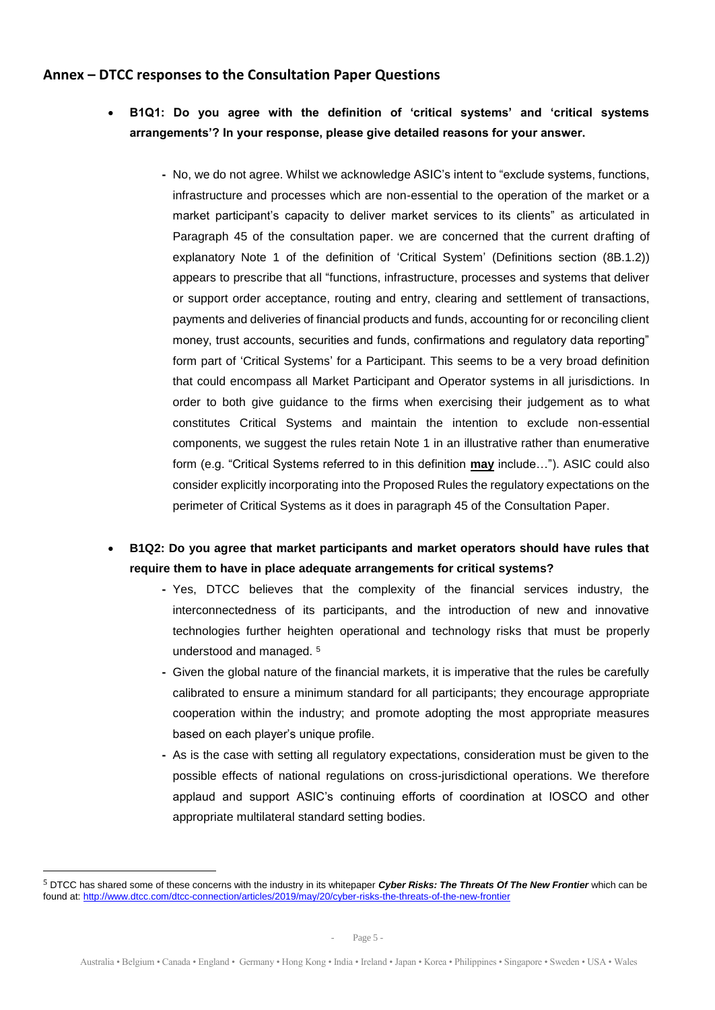## **Annex – DTCC responses to the Consultation Paper Questions**

- **B1Q1: Do you agree with the definition of 'critical systems' and 'critical systems arrangements'? In your response, please give detailed reasons for your answer.** 
	- **-** No, we do not agree. Whilst we acknowledge ASIC's intent to "exclude systems, functions, infrastructure and processes which are non-essential to the operation of the market or a market participant's capacity to deliver market services to its clients" as articulated in Paragraph 45 of the consultation paper. we are concerned that the current drafting of explanatory Note 1 of the definition of 'Critical System' (Definitions section (8B.1.2)) appears to prescribe that all "functions, infrastructure, processes and systems that deliver or support order acceptance, routing and entry, clearing and settlement of transactions, payments and deliveries of financial products and funds, accounting for or reconciling client money, trust accounts, securities and funds, confirmations and regulatory data reporting" form part of 'Critical Systems' for a Participant. This seems to be a very broad definition that could encompass all Market Participant and Operator systems in all jurisdictions. In order to both give guidance to the firms when exercising their judgement as to what constitutes Critical Systems and maintain the intention to exclude non-essential components, we suggest the rules retain Note 1 in an illustrative rather than enumerative form (e.g. "Critical Systems referred to in this definition **may** include…"). ASIC could also consider explicitly incorporating into the Proposed Rules the regulatory expectations on the perimeter of Critical Systems as it does in paragraph 45 of the Consultation Paper.
- **B1Q2: Do you agree that market participants and market operators should have rules that require them to have in place adequate arrangements for critical systems?**
	- **-** Yes, DTCC believes that the complexity of the financial services industry, the interconnectedness of its participants, and the introduction of new and innovative technologies further heighten operational and technology risks that must be properly understood and managed. <sup>5</sup>
	- **-** Given the global nature of the financial markets, it is imperative that the rules be carefully calibrated to ensure a minimum standard for all participants; they encourage appropriate cooperation within the industry; and promote adopting the most appropriate measures based on each player's unique profile.
	- **-** As is the case with setting all regulatory expectations, consideration must be given to the possible effects of national regulations on cross-jurisdictional operations. We therefore applaud and support ASIC's continuing efforts of coordination at IOSCO and other appropriate multilateral standard setting bodies.

<sup>5</sup> DTCC has shared some of these concerns with the industry in its whitepaper *Cyber Risks: The Threats Of The New Frontier* which can be found at[: http://www.dtcc.com/dtcc-connection/articles/2019/may/20/cyber-risks-the-threats-of-the-new-frontier](http://www.dtcc.com/dtcc-connection/articles/2019/may/20/cyber-risks-the-threats-of-the-new-frontier)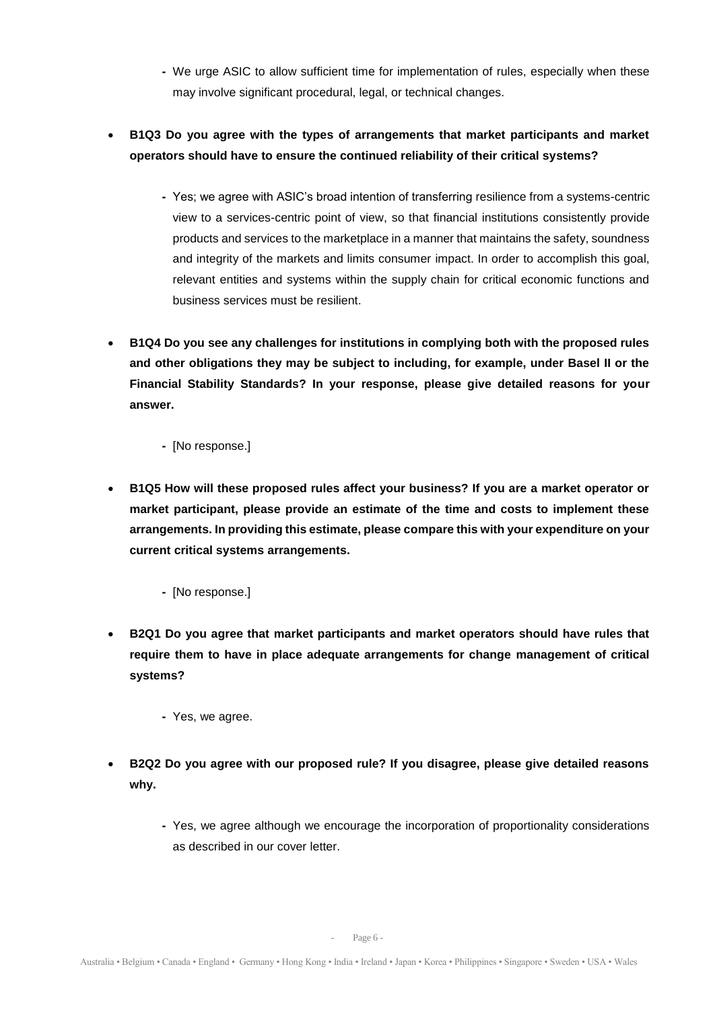- **-** We urge ASIC to allow sufficient time for implementation of rules, especially when these may involve significant procedural, legal, or technical changes.
- **B1Q3 Do you agree with the types of arrangements that market participants and market operators should have to ensure the continued reliability of their critical systems?**
	- **-** Yes; we agree with ASIC's broad intention of transferring resilience from a systems-centric view to a services-centric point of view, so that financial institutions consistently provide products and services to the marketplace in a manner that maintains the safety, soundness and integrity of the markets and limits consumer impact. In order to accomplish this goal, relevant entities and systems within the supply chain for critical economic functions and business services must be resilient.
- **B1Q4 Do you see any challenges for institutions in complying both with the proposed rules and other obligations they may be subject to including, for example, under Basel II or the Financial Stability Standards? In your response, please give detailed reasons for your answer.**
	- **-** [No response.]
- **B1Q5 How will these proposed rules affect your business? If you are a market operator or market participant, please provide an estimate of the time and costs to implement these arrangements. In providing this estimate, please compare this with your expenditure on your current critical systems arrangements.**
	- **-** [No response.]
- **B2Q1 Do you agree that market participants and market operators should have rules that require them to have in place adequate arrangements for change management of critical systems?**
	- **-** Yes, we agree.
- **B2Q2 Do you agree with our proposed rule? If you disagree, please give detailed reasons why.**
	- **-** Yes, we agree although we encourage the incorporation of proportionality considerations as described in our cover letter.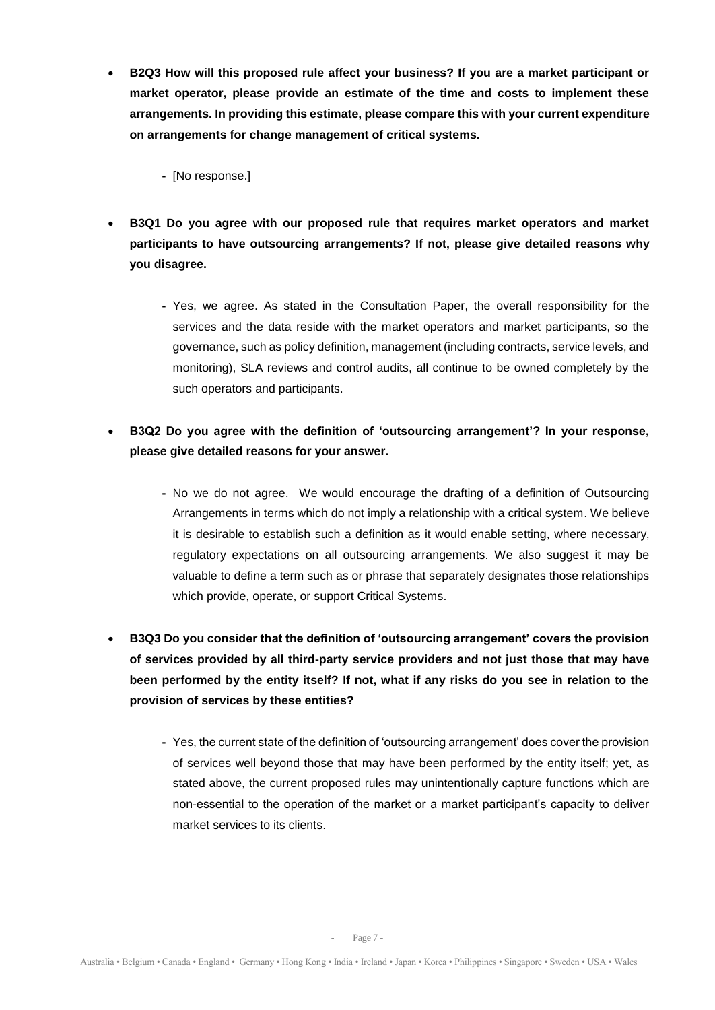- **B2Q3 How will this proposed rule affect your business? If you are a market participant or market operator, please provide an estimate of the time and costs to implement these arrangements. In providing this estimate, please compare this with your current expenditure on arrangements for change management of critical systems.**
	- **-** [No response.]
- **B3Q1 Do you agree with our proposed rule that requires market operators and market participants to have outsourcing arrangements? If not, please give detailed reasons why you disagree.**
	- **-** Yes, we agree. As stated in the Consultation Paper, the overall responsibility for the services and the data reside with the market operators and market participants, so the governance, such as policy definition, management (including contracts, service levels, and monitoring), SLA reviews and control audits, all continue to be owned completely by the such operators and participants.
- **B3Q2 Do you agree with the definition of 'outsourcing arrangement'? In your response, please give detailed reasons for your answer.**
	- **-** No we do not agree. We would encourage the drafting of a definition of Outsourcing Arrangements in terms which do not imply a relationship with a critical system. We believe it is desirable to establish such a definition as it would enable setting, where necessary, regulatory expectations on all outsourcing arrangements. We also suggest it may be valuable to define a term such as or phrase that separately designates those relationships which provide, operate, or support Critical Systems.
- **B3Q3 Do you consider that the definition of 'outsourcing arrangement' covers the provision of services provided by all third-party service providers and not just those that may have been performed by the entity itself? If not, what if any risks do you see in relation to the provision of services by these entities?**
	- **-** Yes, the current state of the definition of 'outsourcing arrangement' does cover the provision of services well beyond those that may have been performed by the entity itself; yet, as stated above, the current proposed rules may unintentionally capture functions which are non-essential to the operation of the market or a market participant's capacity to deliver market services to its clients.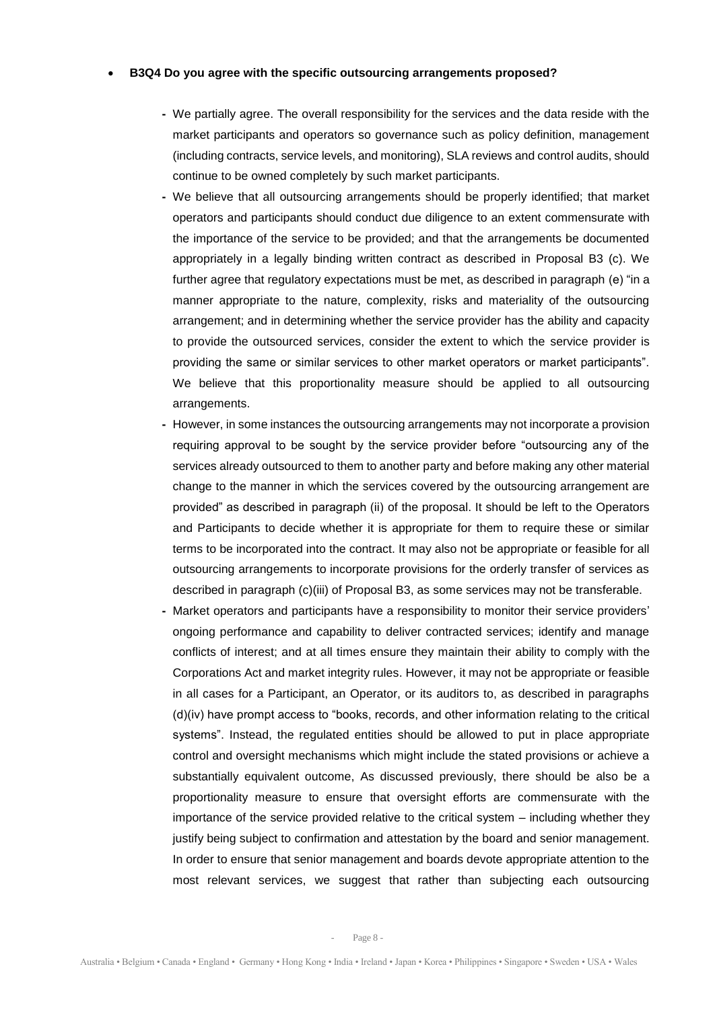#### • **B3Q4 Do you agree with the specific outsourcing arrangements proposed?**

- **-** We partially agree. The overall responsibility for the services and the data reside with the market participants and operators so governance such as policy definition, management (including contracts, service levels, and monitoring), SLA reviews and control audits, should continue to be owned completely by such market participants.
- **-** We believe that all outsourcing arrangements should be properly identified; that market operators and participants should conduct due diligence to an extent commensurate with the importance of the service to be provided; and that the arrangements be documented appropriately in a legally binding written contract as described in Proposal B3 (c). We further agree that regulatory expectations must be met, as described in paragraph (e) "in a manner appropriate to the nature, complexity, risks and materiality of the outsourcing arrangement; and in determining whether the service provider has the ability and capacity to provide the outsourced services, consider the extent to which the service provider is providing the same or similar services to other market operators or market participants". We believe that this proportionality measure should be applied to all outsourcing arrangements.
- **-** However, in some instances the outsourcing arrangements may not incorporate a provision requiring approval to be sought by the service provider before "outsourcing any of the services already outsourced to them to another party and before making any other material change to the manner in which the services covered by the outsourcing arrangement are provided" as described in paragraph (ii) of the proposal. It should be left to the Operators and Participants to decide whether it is appropriate for them to require these or similar terms to be incorporated into the contract. It may also not be appropriate or feasible for all outsourcing arrangements to incorporate provisions for the orderly transfer of services as described in paragraph (c)(iii) of Proposal B3, as some services may not be transferable.
- **-** Market operators and participants have a responsibility to monitor their service providers' ongoing performance and capability to deliver contracted services; identify and manage conflicts of interest; and at all times ensure they maintain their ability to comply with the Corporations Act and market integrity rules. However, it may not be appropriate or feasible in all cases for a Participant, an Operator, or its auditors to, as described in paragraphs (d)(iv) have prompt access to "books, records, and other information relating to the critical systems". Instead, the regulated entities should be allowed to put in place appropriate control and oversight mechanisms which might include the stated provisions or achieve a substantially equivalent outcome, As discussed previously, there should be also be a proportionality measure to ensure that oversight efforts are commensurate with the importance of the service provided relative to the critical system – including whether they justify being subject to confirmation and attestation by the board and senior management. In order to ensure that senior management and boards devote appropriate attention to the most relevant services, we suggest that rather than subjecting each outsourcing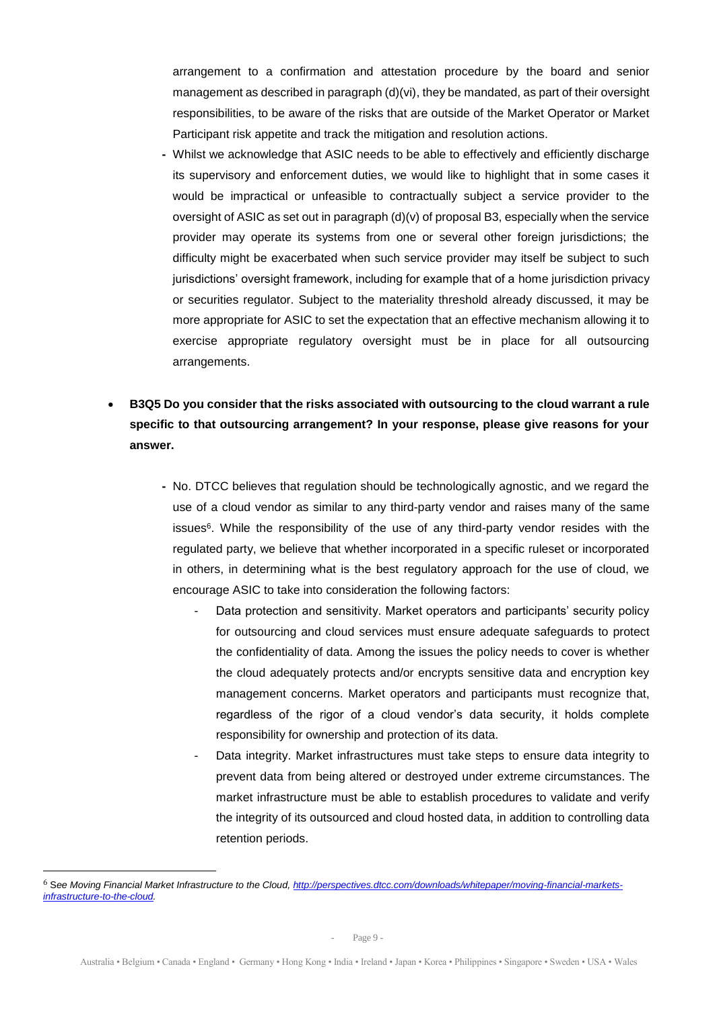arrangement to a confirmation and attestation procedure by the board and senior management as described in paragraph (d)(vi), they be mandated, as part of their oversight responsibilities, to be aware of the risks that are outside of the Market Operator or Market Participant risk appetite and track the mitigation and resolution actions.

- **-** Whilst we acknowledge that ASIC needs to be able to effectively and efficiently discharge its supervisory and enforcement duties, we would like to highlight that in some cases it would be impractical or unfeasible to contractually subject a service provider to the oversight of ASIC as set out in paragraph  $(d)(v)$  of proposal B3, especially when the service provider may operate its systems from one or several other foreign jurisdictions; the difficulty might be exacerbated when such service provider may itself be subject to such jurisdictions' oversight framework, including for example that of a home jurisdiction privacy or securities regulator. Subject to the materiality threshold already discussed, it may be more appropriate for ASIC to set the expectation that an effective mechanism allowing it to exercise appropriate regulatory oversight must be in place for all outsourcing arrangements.
- **B3Q5 Do you consider that the risks associated with outsourcing to the cloud warrant a rule specific to that outsourcing arrangement? In your response, please give reasons for your answer.**
	- **-** No. DTCC believes that regulation should be technologically agnostic, and we regard the use of a cloud vendor as similar to any third-party vendor and raises many of the same issues<sup>6</sup>. While the responsibility of the use of any third-party vendor resides with the regulated party, we believe that whether incorporated in a specific ruleset or incorporated in others, in determining what is the best regulatory approach for the use of cloud, we encourage ASIC to take into consideration the following factors:
		- Data protection and sensitivity. Market operators and participants' security policy for outsourcing and cloud services must ensure adequate safeguards to protect the confidentiality of data. Among the issues the policy needs to cover is whether the cloud adequately protects and/or encrypts sensitive data and encryption key management concerns. Market operators and participants must recognize that, regardless of the rigor of a cloud vendor's data security, it holds complete responsibility for ownership and protection of its data.
		- Data integrity. Market infrastructures must take steps to ensure data integrity to prevent data from being altered or destroyed under extreme circumstances. The market infrastructure must be able to establish procedures to validate and verify the integrity of its outsourced and cloud hosted data, in addition to controlling data retention periods.

<sup>6</sup> S*ee Moving Financial Market Infrastructure to the Cloud[, http://perspectives.dtcc.com/downloads/whitepaper/moving-financial-markets](http://perspectives.dtcc.com/downloads/whitepaper/moving-financial-markets-infrastructure-to-the-cloud)[infrastructure-to-the-cloud.](http://perspectives.dtcc.com/downloads/whitepaper/moving-financial-markets-infrastructure-to-the-cloud)*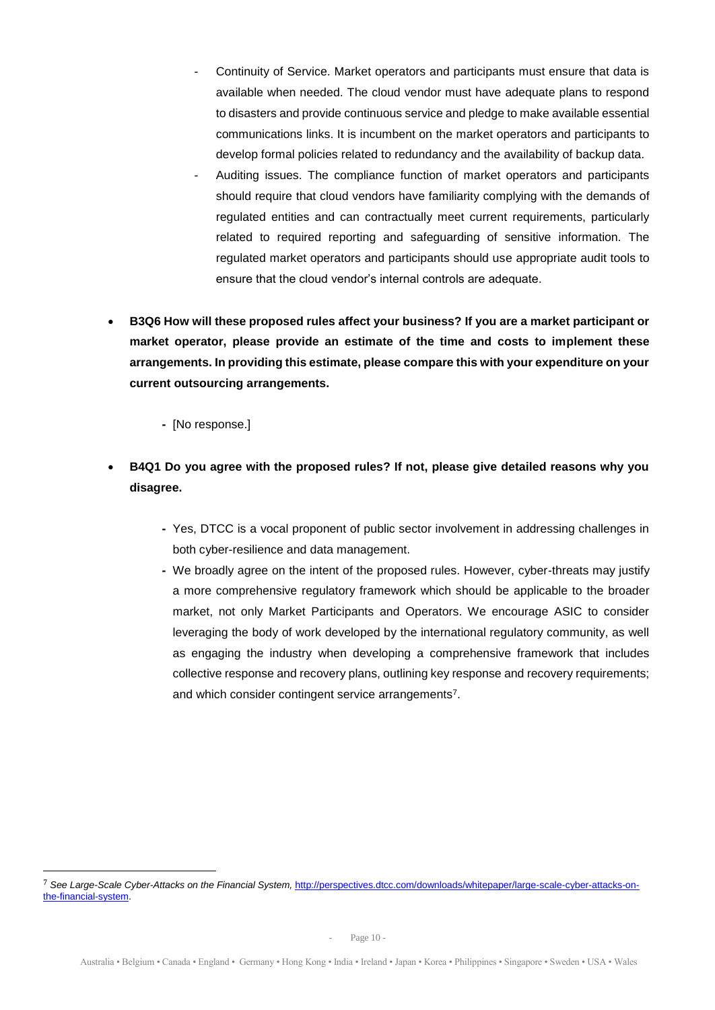- Continuity of Service. Market operators and participants must ensure that data is available when needed. The cloud vendor must have adequate plans to respond to disasters and provide continuous service and pledge to make available essential communications links. It is incumbent on the market operators and participants to develop formal policies related to redundancy and the availability of backup data.
- Auditing issues. The compliance function of market operators and participants should require that cloud vendors have familiarity complying with the demands of regulated entities and can contractually meet current requirements, particularly related to required reporting and safeguarding of sensitive information. The regulated market operators and participants should use appropriate audit tools to ensure that the cloud vendor's internal controls are adequate.
- **B3Q6 How will these proposed rules affect your business? If you are a market participant or market operator, please provide an estimate of the time and costs to implement these arrangements. In providing this estimate, please compare this with your expenditure on your current outsourcing arrangements.**

## **-** [No response.]

- **B4Q1 Do you agree with the proposed rules? If not, please give detailed reasons why you disagree.**
	- **-** Yes, DTCC is a vocal proponent of public sector involvement in addressing challenges in both cyber-resilience and data management.
	- **-** We broadly agree on the intent of the proposed rules. However, cyber-threats may justify a more comprehensive regulatory framework which should be applicable to the broader market, not only Market Participants and Operators. We encourage ASIC to consider leveraging the body of work developed by the international regulatory community, as well as engaging the industry when developing a comprehensive framework that includes collective response and recovery plans, outlining key response and recovery requirements; and which consider contingent service arrangements<sup>7</sup>.

<sup>&</sup>lt;sup>7</sup> See Large-Scale Cyber-Attacks on the Financial System, [http://perspectives.dtcc.com/downloads/whitepaper/large-scale-cyber-attacks-on](http://perspectives.dtcc.com/downloads/whitepaper/large-scale-cyber-attacks-on-the-financial-system)[the-financial-system.](http://perspectives.dtcc.com/downloads/whitepaper/large-scale-cyber-attacks-on-the-financial-system)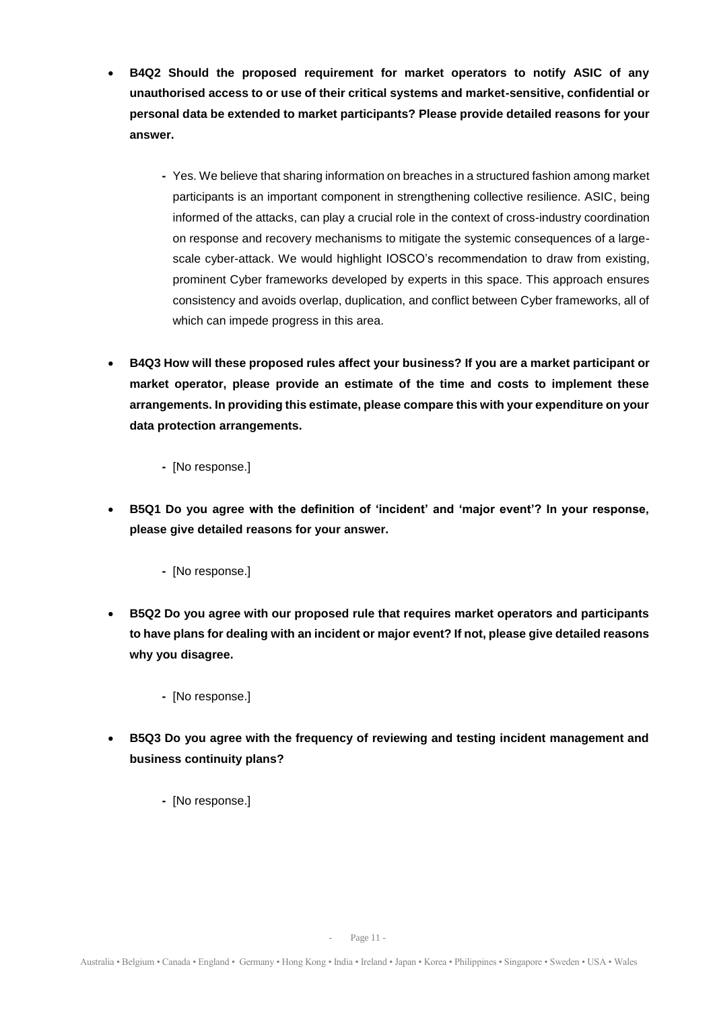- **B4Q2 Should the proposed requirement for market operators to notify ASIC of any unauthorised access to or use of their critical systems and market-sensitive, confidential or personal data be extended to market participants? Please provide detailed reasons for your answer.**
	- **-** Yes. We believe that sharing information on breaches in a structured fashion among market participants is an important component in strengthening collective resilience. ASIC, being informed of the attacks, can play a crucial role in the context of cross-industry coordination on response and recovery mechanisms to mitigate the systemic consequences of a largescale cyber-attack. We would highlight IOSCO's recommendation to draw from existing, prominent Cyber frameworks developed by experts in this space. This approach ensures consistency and avoids overlap, duplication, and conflict between Cyber frameworks, all of which can impede progress in this area.
- **B4Q3 How will these proposed rules affect your business? If you are a market participant or market operator, please provide an estimate of the time and costs to implement these arrangements. In providing this estimate, please compare this with your expenditure on your data protection arrangements.**

**-** [No response.]

- **B5Q1 Do you agree with the definition of 'incident' and 'major event'? In your response, please give detailed reasons for your answer.**
	- **-** [No response.]
- **B5Q2 Do you agree with our proposed rule that requires market operators and participants to have plans for dealing with an incident or major event? If not, please give detailed reasons why you disagree.**
	- **-** [No response.]
- **B5Q3 Do you agree with the frequency of reviewing and testing incident management and business continuity plans?**
	- **-** [No response.]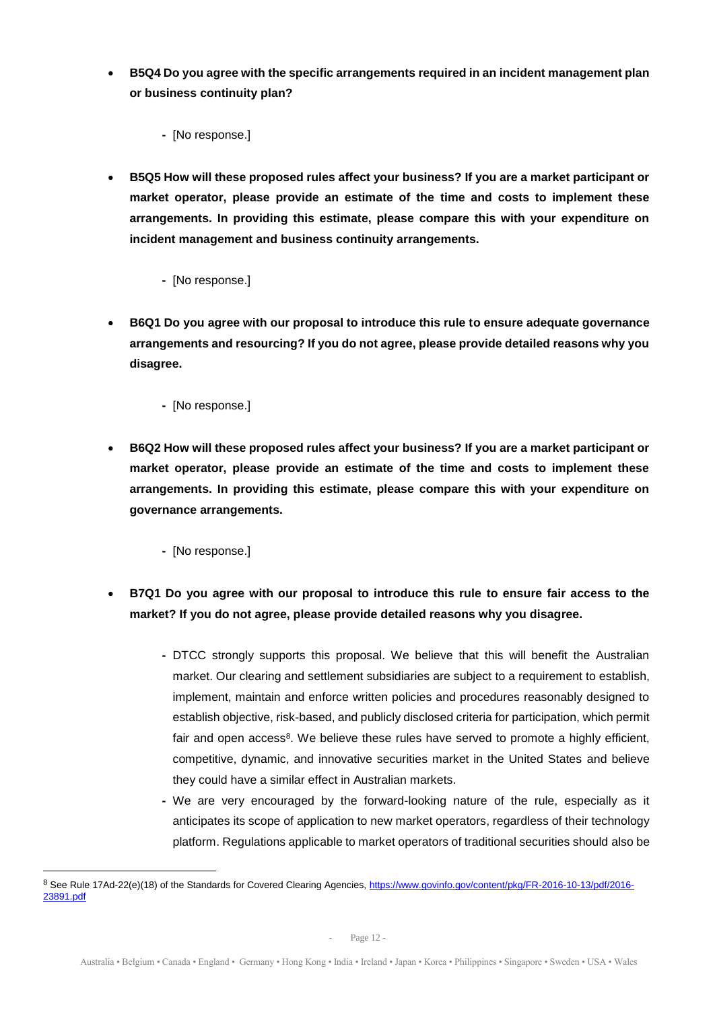- **B5Q4 Do you agree with the specific arrangements required in an incident management plan or business continuity plan?**
	- **-** [No response.]
- **B5Q5 How will these proposed rules affect your business? If you are a market participant or market operator, please provide an estimate of the time and costs to implement these arrangements. In providing this estimate, please compare this with your expenditure on incident management and business continuity arrangements.**
	- **-** [No response.]
- **B6Q1 Do you agree with our proposal to introduce this rule to ensure adequate governance arrangements and resourcing? If you do not agree, please provide detailed reasons why you disagree.**
	- **-** [No response.]
- **B6Q2 How will these proposed rules affect your business? If you are a market participant or market operator, please provide an estimate of the time and costs to implement these arrangements. In providing this estimate, please compare this with your expenditure on governance arrangements.**
	- **-** [No response.]

- **B7Q1 Do you agree with our proposal to introduce this rule to ensure fair access to the market? If you do not agree, please provide detailed reasons why you disagree.**
	- **-** DTCC strongly supports this proposal. We believe that this will benefit the Australian market. Our clearing and settlement subsidiaries are subject to a requirement to establish, implement, maintain and enforce written policies and procedures reasonably designed to establish objective, risk-based, and publicly disclosed criteria for participation, which permit fair and open access<sup>8</sup>. We believe these rules have served to promote a highly efficient, competitive, dynamic, and innovative securities market in the United States and believe they could have a similar effect in Australian markets.
	- **-** We are very encouraged by the forward-looking nature of the rule, especially as it anticipates its scope of application to new market operators, regardless of their technology platform. Regulations applicable to market operators of traditional securities should also be

<sup>8</sup> See Rule 17Ad-22(e)(18) of the Standards for Covered Clearing Agencies[, https://www.govinfo.gov/content/pkg/FR-2016-10-13/pdf/2016-](https://www.govinfo.gov/content/pkg/FR-2016-10-13/pdf/2016-23891.pdf) [23891.pdf](https://www.govinfo.gov/content/pkg/FR-2016-10-13/pdf/2016-23891.pdf)